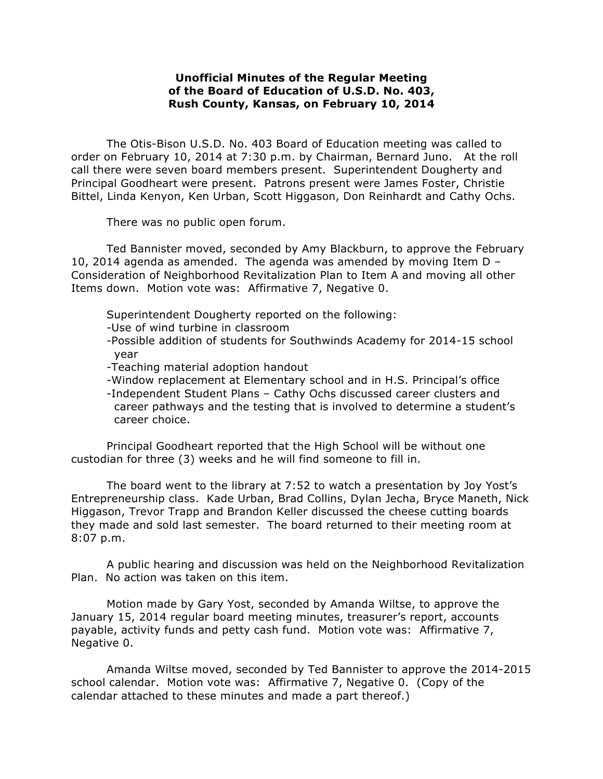## **Unofficial Minutes of the Regular Meeting of the Board of Education of U.S.D. No. 403, Rush County, Kansas, on February 10, 2014**

The Otis-Bison U.S.D. No. 403 Board of Education meeting was called to order on February 10, 2014 at 7:30 p.m. by Chairman, Bernard Juno. At the roll call there were seven board members present. Superintendent Dougherty and Principal Goodheart were present. Patrons present were James Foster, Christie Bittel, Linda Kenyon, Ken Urban, Scott Higgason, Don Reinhardt and Cathy Ochs.

There was no public open forum.

Ted Bannister moved, seconded by Amy Blackburn, to approve the February 10, 2014 agenda as amended. The agenda was amended by moving Item  $D -$ Consideration of Neighborhood Revitalization Plan to Item A and moving all other Items down. Motion vote was: Affirmative 7, Negative 0.

- Superintendent Dougherty reported on the following:
- -Use of wind turbine in classroom
- -Possible addition of students for Southwinds Academy for 2014-15 school year
- -Teaching material adoption handout
- -Window replacement at Elementary school and in H.S. Principal's office
- -Independent Student Plans Cathy Ochs discussed career clusters and career pathways and the testing that is involved to determine a student's career choice.

Principal Goodheart reported that the High School will be without one custodian for three (3) weeks and he will find someone to fill in.

The board went to the library at 7:52 to watch a presentation by Joy Yost's Entrepreneurship class. Kade Urban, Brad Collins, Dylan Jecha, Bryce Maneth, Nick Higgason, Trevor Trapp and Brandon Keller discussed the cheese cutting boards they made and sold last semester. The board returned to their meeting room at 8:07 p.m.

A public hearing and discussion was held on the Neighborhood Revitalization Plan. No action was taken on this item.

Motion made by Gary Yost, seconded by Amanda Wiltse, to approve the January 15, 2014 regular board meeting minutes, treasurer's report, accounts payable, activity funds and petty cash fund. Motion vote was: Affirmative 7, Negative 0.

Amanda Wiltse moved, seconded by Ted Bannister to approve the 2014-2015 school calendar. Motion vote was: Affirmative 7, Negative 0. (Copy of the calendar attached to these minutes and made a part thereof.)